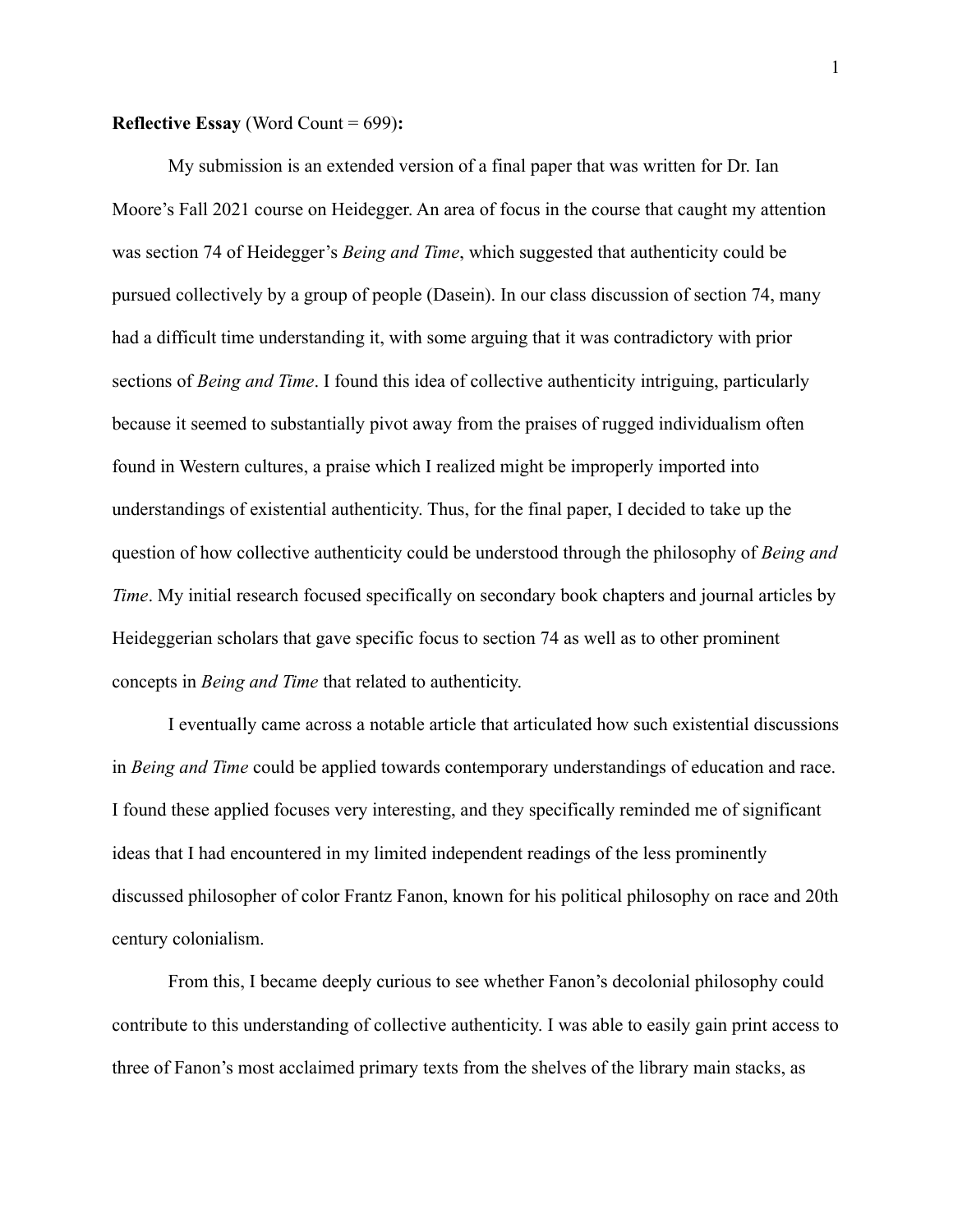## **Reflective Essay** (Word Count = 699)**:**

My submission is an extended version of a final paper that was written for Dr. Ian Moore's Fall 2021 course on Heidegger. An area of focus in the course that caught my attention was section 74 of Heidegger's *Being and Time*, which suggested that authenticity could be pursued collectively by a group of people (Dasein). In our class discussion of section 74, many had a difficult time understanding it, with some arguing that it was contradictory with prior sections of *Being and Time*. I found this idea of collective authenticity intriguing, particularly because it seemed to substantially pivot away from the praises of rugged individualism often found in Western cultures, a praise which I realized might be improperly imported into understandings of existential authenticity. Thus, for the final paper, I decided to take up the question of how collective authenticity could be understood through the philosophy of *Being and Time*. My initial research focused specifically on secondary book chapters and journal articles by Heideggerian scholars that gave specific focus to section 74 as well as to other prominent concepts in *Being and Time* that related to authenticity.

I eventually came across a notable article that articulated how such existential discussions in *Being and Time* could be applied towards contemporary understandings of education and race. I found these applied focuses very interesting, and they specifically reminded me of significant ideas that I had encountered in my limited independent readings of the less prominently discussed philosopher of color Frantz Fanon, known for his political philosophy on race and 20th century colonialism.

From this, I became deeply curious to see whether Fanon's decolonial philosophy could contribute to this understanding of collective authenticity. I was able to easily gain print access to three of Fanon's most acclaimed primary texts from the shelves of the library main stacks, as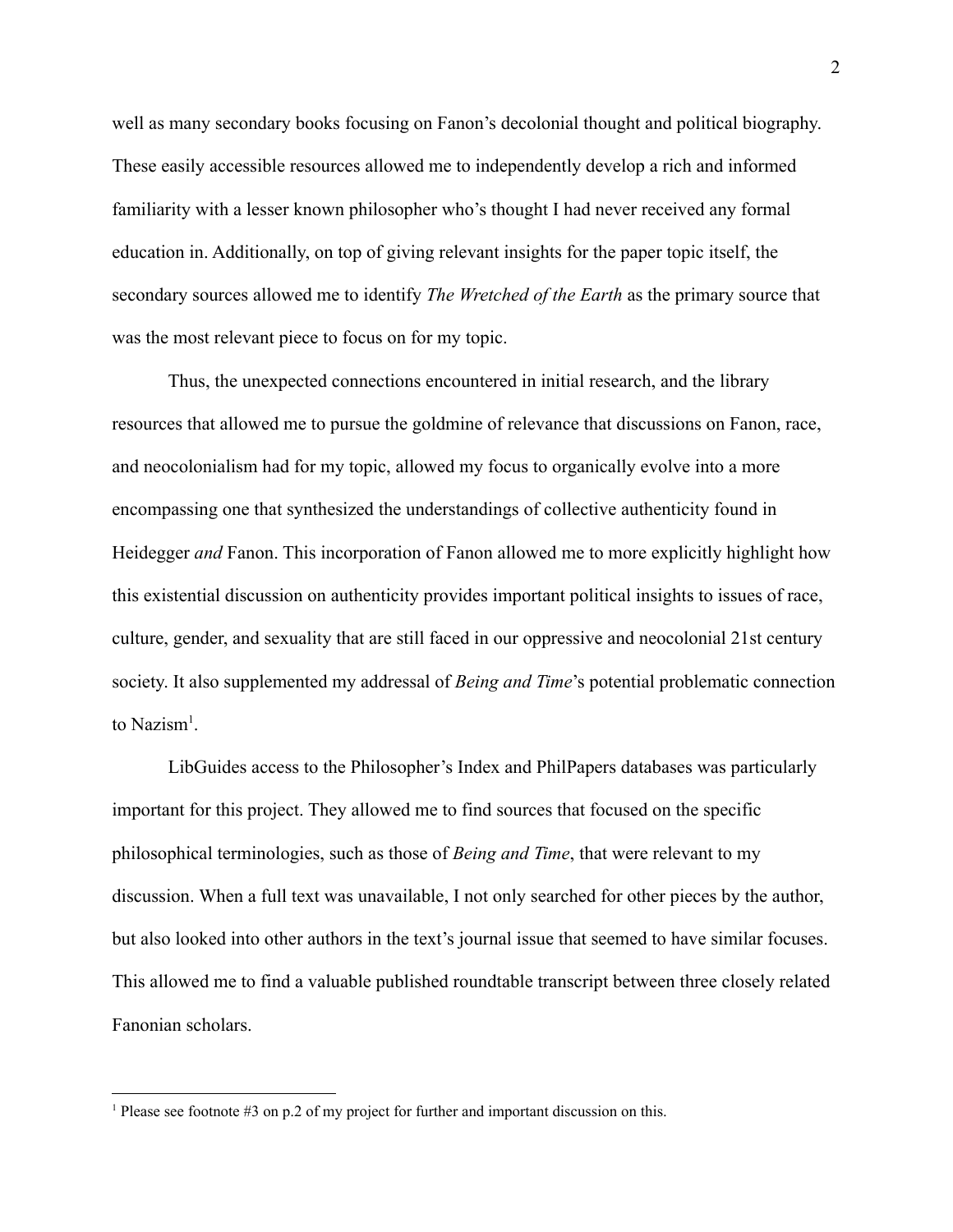well as many secondary books focusing on Fanon's decolonial thought and political biography. These easily accessible resources allowed me to independently develop a rich and informed familiarity with a lesser known philosopher who's thought I had never received any formal education in. Additionally, on top of giving relevant insights for the paper topic itself, the secondary sources allowed me to identify *The Wretched of the Earth* as the primary source that was the most relevant piece to focus on for my topic.

Thus, the unexpected connections encountered in initial research, and the library resources that allowed me to pursue the goldmine of relevance that discussions on Fanon, race, and neocolonialism had for my topic, allowed my focus to organically evolve into a more encompassing one that synthesized the understandings of collective authenticity found in Heidegger *and* Fanon. This incorporation of Fanon allowed me to more explicitly highlight how this existential discussion on authenticity provides important political insights to issues of race, culture, gender, and sexuality that are still faced in our oppressive and neocolonial 21st century society. It also supplemented my addressal of *Being and Time*'s potential problematic connection to  $Nazism<sup>1</sup>$ .

LibGuides access to the Philosopher's Index and PhilPapers databases was particularly important for this project. They allowed me to find sources that focused on the specific philosophical terminologies, such as those of *Being and Time*, that were relevant to my discussion. When a full text was unavailable, I not only searched for other pieces by the author, but also looked into other authors in the text's journal issue that seemed to have similar focuses. This allowed me to find a valuable published roundtable transcript between three closely related Fanonian scholars.

<sup>&</sup>lt;sup>1</sup> Please see footnote #3 on p.2 of my project for further and important discussion on this.